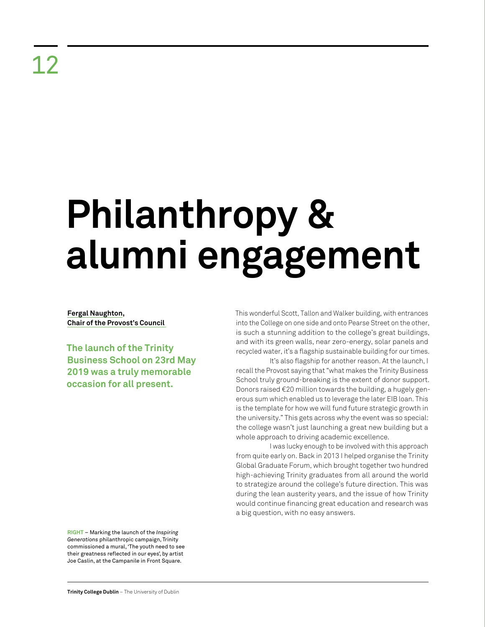## **Philanthropy & alumni engagement**

**Fergal Naughton, Chair of the Provost's Council** 

**The launch of the Trinity Business School on 23rd May 2019 was a truly memorable occasion for all present.**

This wonderful Scott, Tallon and Walker building, with entrances into the College on one side and onto Pearse Street on the other, is such a stunning addition to the college's great buildings, and with its green walls, near zero-energy, solar panels and recycled water, it's a flagship sustainable building for our times.

It's also flagship for another reason. At the launch, I recall the Provost saying that "what makes the Trinity Business School truly ground-breaking is the extent of donor support. Donors raised €20 million towards the building, a hugely generous sum which enabled us to leverage the later EIB loan. This is the template for how we will fund future strategic growth in the university." This gets across why the event was so special: the college wasn't just launching a great new building but a whole approach to driving academic excellence.

I was lucky enough to be involved with this approach from quite early on. Back in 2013 I helped organise the Trinity Global Graduate Forum, which brought together two hundred high-achieving Trinity graduates from all around the world to strategize around the college's future direction. This was during the lean austerity years, and the issue of how Trinity would continue financing great education and research was a big question, with no easy answers.

**RIGHT** – Marking the launch of the *Inspiring Generations* philanthropic campaign, Trinity commissioned a mural, 'The youth need to see their greatness reflected in our eyes', by artist Joe Caslin, at the Campanile in Front Square.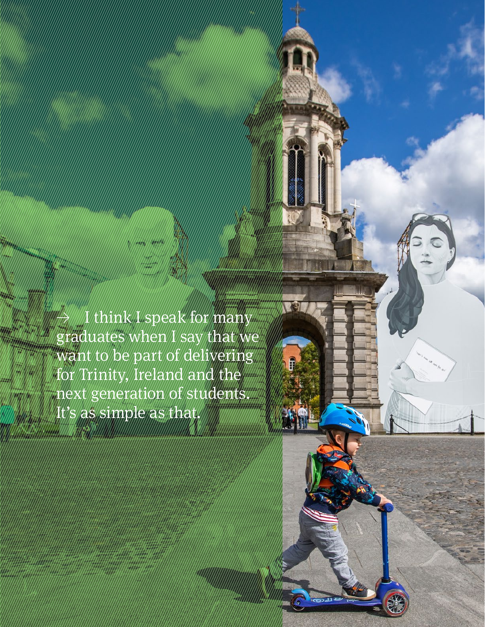I think I speak for many graduates when I say that we want to be part of delivering for Trinity, Ireland and the next generation of students. It's as simple as that.

**Retrospective Review** 2011–21 96 | 97

T

F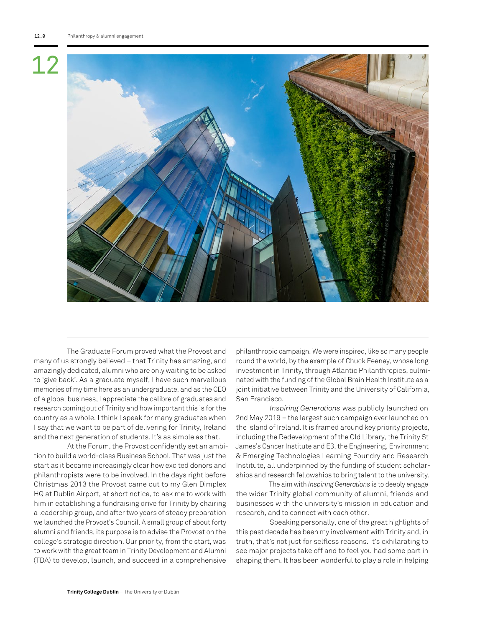

The Graduate Forum proved what the Provost and many of us strongly believed – that Trinity has amazing, and amazingly dedicated, alumni who are only waiting to be asked to 'give back'. As a graduate myself, I have such marvellous memories of my time here as an undergraduate, and as the CEO of a global business, I appreciate the calibre of graduates and research coming out of Trinity and how important this is for the country as a whole. I think I speak for many graduates when I say that we want to be part of delivering for Trinity, Ireland and the next generation of students. It's as simple as that.

At the Forum, the Provost confidently set an ambition to build a world-class Business School. That was just the start as it became increasingly clear how excited donors and philanthropists were to be involved. In the days right before Christmas 2013 the Provost came out to my Glen Dimplex HQ at Dublin Airport, at short notice, to ask me to work with him in establishing a fundraising drive for Trinity by chairing a leadership group, and after two years of steady preparation we launched the Provost's Council. A small group of about forty alumni and friends, its purpose is to advise the Provost on the college's strategic direction. Our priority, from the start, was to work with the great team in Trinity Development and Alumni (TDA) to develop, launch, and succeed in a comprehensive

philanthropic campaign. We were inspired, like so many people round the world, by the example of Chuck Feeney, whose long investment in Trinity, through Atlantic Philanthropies, culminated with the funding of the Global Brain Health Institute as a joint initiative between Trinity and the University of California, San Francisco.

*Inspiring Generations* was publicly launched on 2nd May 2019 – the largest such campaign ever launched on the island of Ireland. It is framed around key priority projects, including the Redevelopment of the Old Library, the Trinity St James's Cancer Institute and E3, the Engineering, Environment & Emerging Technologies Learning Foundry and Research Institute, all underpinned by the funding of student scholarships and research fellowships to bring talent to the university.

The aim with *Inspiring Generations* is to deeply engage the wider Trinity global community of alumni, friends and businesses with the university's mission in education and research, and to connect with each other.

Speaking personally, one of the great highlights of this past decade has been my involvement with Trinity and, in truth, that's not just for selfless reasons. It's exhilarating to see major projects take off and to feel you had some part in shaping them. It has been wonderful to play a role in helping